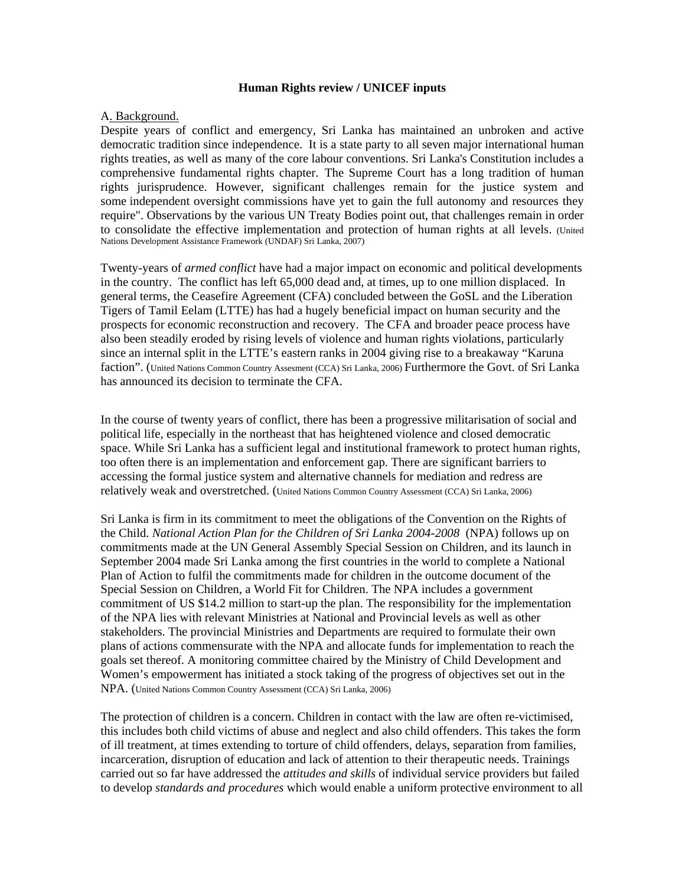#### **Human Rights review / UNICEF inputs**

#### A. Background.

Despite years of conflict and emergency, Sri Lanka has maintained an unbroken and active democratic tradition since independence. It is a state party to all seven major international human rights treaties, as well as many of the core labour conventions. Sri Lanka's Constitution includes a comprehensive fundamental rights chapter. The Supreme Court has a long tradition of human rights jurisprudence. However, significant challenges remain for the justice system and some independent oversight commissions have yet to gain the full autonomy and resources they require". Observations by the various UN Treaty Bodies point out, that challenges remain in order to consolidate the effective implementation and protection of human rights at all levels. (United Nations Development Assistance Framework (UNDAF) Sri Lanka, 2007)

Twenty-years of *armed conflict* have had a major impact on economic and political developments in the country. The conflict has left 65,000 dead and, at times, up to one million displaced. In general terms, the Ceasefire Agreement (CFA) concluded between the GoSL and the Liberation Tigers of Tamil Eelam (LTTE) has had a hugely beneficial impact on human security and the prospects for economic reconstruction and recovery. The CFA and broader peace process have also been steadily eroded by rising levels of violence and human rights violations, particularly since an internal split in the LTTE's eastern ranks in 2004 giving rise to a breakaway "Karuna faction". (United Nations Common Country Assesment (CCA) Sri Lanka, 2006) Furthermore the Govt. of Sri Lanka has announced its decision to terminate the CFA.

In the course of twenty years of conflict, there has been a progressive militarisation of social and political life, especially in the northeast that has heightened violence and closed democratic space. While Sri Lanka has a sufficient legal and institutional framework to protect human rights, too often there is an implementation and enforcement gap. There are significant barriers to accessing the formal justice system and alternative channels for mediation and redress are relatively weak and overstretched. (United Nations Common Country Assessment (CCA) Sri Lanka, 2006)

Sri Lanka is firm in its commitment to meet the obligations of the Convention on the Rights of the Child. *National Action Plan for the Children of Sri Lanka 2004-2008* (NPA) follows up on commitments made at the UN General Assembly Special Session on Children, and its launch in September 2004 made Sri Lanka among the first countries in the world to complete a National Plan of Action to fulfil the commitments made for children in the outcome document of the Special Session on Children, a World Fit for Children. The NPA includes a government commitment of US \$14.2 million to start-up the plan. The responsibility for the implementation of the NPA lies with relevant Ministries at National and Provincial levels as well as other stakeholders. The provincial Ministries and Departments are required to formulate their own plans of actions commensurate with the NPA and allocate funds for implementation to reach the goals set thereof. A monitoring committee chaired by the Ministry of Child Development and Women's empowerment has initiated a stock taking of the progress of objectives set out in the NPA. (United Nations Common Country Assessment (CCA) Sri Lanka, 2006)

The protection of children is a concern. Children in contact with the law are often re-victimised, this includes both child victims of abuse and neglect and also child offenders. This takes the form of ill treatment, at times extending to torture of child offenders, delays, separation from families, incarceration, disruption of education and lack of attention to their therapeutic needs. Trainings carried out so far have addressed the *attitudes and skills* of individual service providers but failed to develop *standards and procedures* which would enable a uniform protective environment to all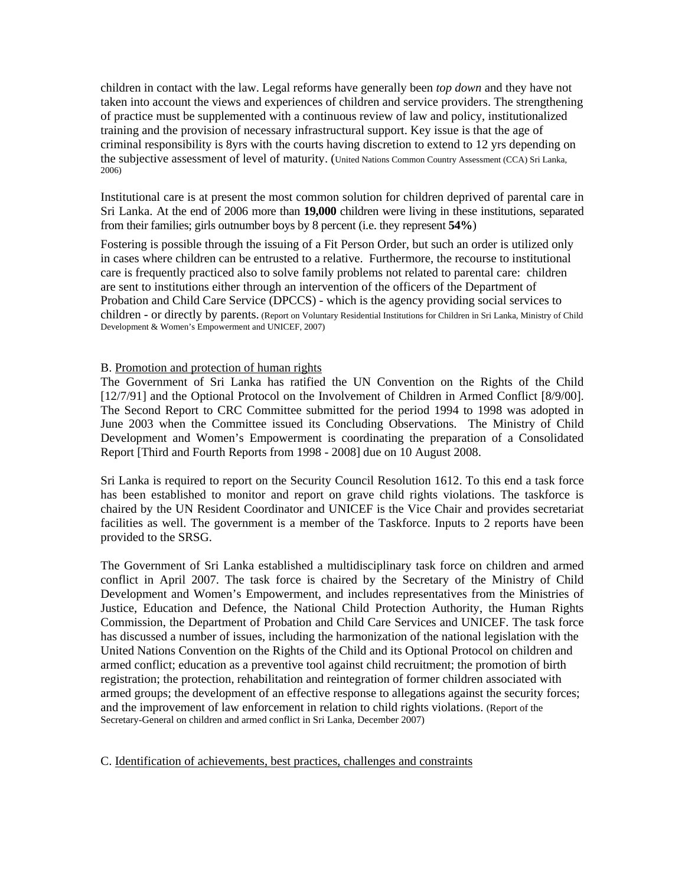children in contact with the law. Legal reforms have generally been *top down* and they have not taken into account the views and experiences of children and service providers. The strengthening of practice must be supplemented with a continuous review of law and policy, institutionalized training and the provision of necessary infrastructural support. Key issue is that the age of criminal responsibility is 8yrs with the courts having discretion to extend to 12 yrs depending on the subjective assessment of level of maturity. (United Nations Common Country Assessment (CCA) Sri Lanka, 2006)

Institutional care is at present the most common solution for children deprived of parental care in Sri Lanka. At the end of 2006 more than **19,000** children were living in these institutions, separated from their families; girls outnumber boys by 8 percent (i.e. they represent **54%**)

Fostering is possible through the issuing of a Fit Person Order, but such an order is utilized only in cases where children can be entrusted to a relative. Furthermore, the recourse to institutional care is frequently practiced also to solve family problems not related to parental care: children are sent to institutions either through an intervention of the officers of the Department of Probation and Child Care Service (DPCCS) - which is the agency providing social services to children - or directly by parents. (Report on Voluntary Residential Institutions for Children in Sri Lanka, Ministry of Child Development & Women's Empowerment and UNICEF, 2007)

#### B. Promotion and protection of human rights

The Government of Sri Lanka has ratified the UN Convention on the Rights of the Child [12/7/91] and the Optional Protocol on the Involvement of Children in Armed Conflict [8/9/00]. The Second Report to CRC Committee submitted for the period 1994 to 1998 was adopted in June 2003 when the Committee issued its Concluding Observations. The Ministry of Child Development and Women's Empowerment is coordinating the preparation of a Consolidated Report [Third and Fourth Reports from 1998 - 2008] due on 10 August 2008.

Sri Lanka is required to report on the Security Council Resolution 1612. To this end a task force has been established to monitor and report on grave child rights violations. The taskforce is chaired by the UN Resident Coordinator and UNICEF is the Vice Chair and provides secretariat facilities as well. The government is a member of the Taskforce. Inputs to 2 reports have been provided to the SRSG.

The Government of Sri Lanka established a multidisciplinary task force on children and armed conflict in April 2007. The task force is chaired by the Secretary of the Ministry of Child Development and Women's Empowerment, and includes representatives from the Ministries of Justice, Education and Defence, the National Child Protection Authority, the Human Rights Commission, the Department of Probation and Child Care Services and UNICEF. The task force has discussed a number of issues, including the harmonization of the national legislation with the United Nations Convention on the Rights of the Child and its Optional Protocol on children and armed conflict; education as a preventive tool against child recruitment; the promotion of birth registration; the protection, rehabilitation and reintegration of former children associated with armed groups; the development of an effective response to allegations against the security forces; and the improvement of law enforcement in relation to child rights violations. (Report of the Secretary-General on children and armed conflict in Sri Lanka, December 2007)

C. Identification of achievements, best practices, challenges and constraints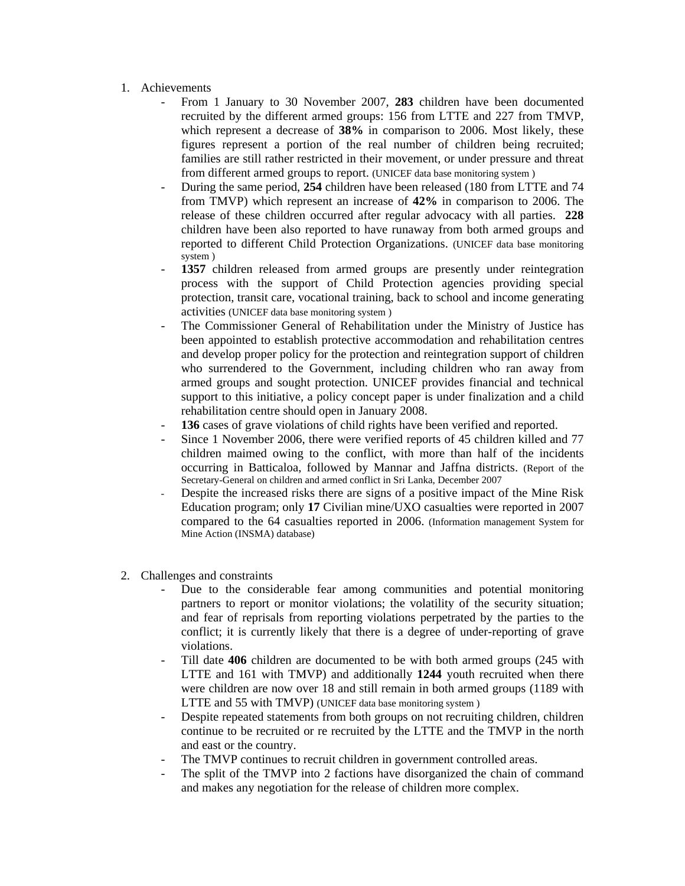- 1. Achievements
	- From 1 January to 30 November 2007, **283** children have been documented recruited by the different armed groups: 156 from LTTE and 227 from TMVP, which represent a decrease of **38%** in comparison to 2006. Most likely, these figures represent a portion of the real number of children being recruited; families are still rather restricted in their movement, or under pressure and threat from different armed groups to report. (UNICEF data base monitoring system )
	- During the same period, **254** children have been released (180 from LTTE and 74 from TMVP) which represent an increase of **42%** in comparison to 2006. The release of these children occurred after regular advocacy with all parties. **228** children have been also reported to have runaway from both armed groups and reported to different Child Protection Organizations. (UNICEF data base monitoring system )
	- 1357 children released from armed groups are presently under reintegration process with the support of Child Protection agencies providing special protection, transit care, vocational training, back to school and income generating activities (UNICEF data base monitoring system )
	- The Commissioner General of Rehabilitation under the Ministry of Justice has been appointed to establish protective accommodation and rehabilitation centres and develop proper policy for the protection and reintegration support of children who surrendered to the Government, including children who ran away from armed groups and sought protection. UNICEF provides financial and technical support to this initiative, a policy concept paper is under finalization and a child rehabilitation centre should open in January 2008.
	- 136 cases of grave violations of child rights have been verified and reported.
	- Since 1 November 2006, there were verified reports of 45 children killed and 77 children maimed owing to the conflict, with more than half of the incidents occurring in Batticaloa, followed by Mannar and Jaffna districts. (Report of the Secretary-General on children and armed conflict in Sri Lanka, December 2007
	- Despite the increased risks there are signs of a positive impact of the Mine Risk Education program; only **17** Civilian mine/UXO casualties were reported in 2007 compared to the 64 casualties reported in 2006. (Information management System for Mine Action (INSMA) database)
- 2. Challenges and constraints
	- Due to the considerable fear among communities and potential monitoring partners to report or monitor violations; the volatility of the security situation; and fear of reprisals from reporting violations perpetrated by the parties to the conflict; it is currently likely that there is a degree of under-reporting of grave violations.
	- Till date **406** children are documented to be with both armed groups (245 with LTTE and 161 with TMVP) and additionally **1244** youth recruited when there were children are now over 18 and still remain in both armed groups (1189 with LTTE and 55 with TMVP) (UNICEF data base monitoring system )
	- Despite repeated statements from both groups on not recruiting children, children continue to be recruited or re recruited by the LTTE and the TMVP in the north and east or the country.
	- The TMVP continues to recruit children in government controlled areas.
	- The split of the TMVP into 2 factions have disorganized the chain of command and makes any negotiation for the release of children more complex.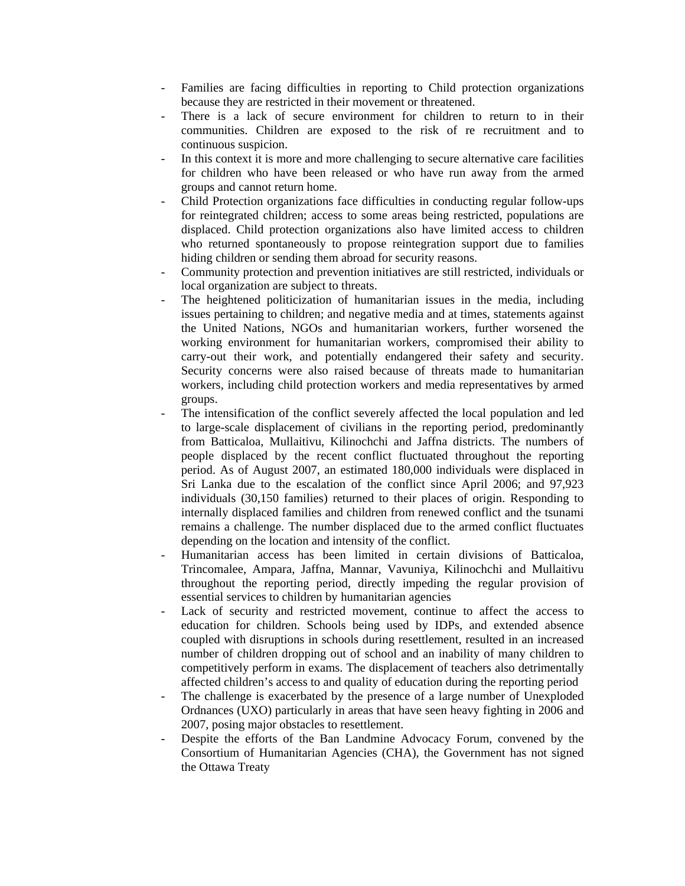- Families are facing difficulties in reporting to Child protection organizations because they are restricted in their movement or threatened.
- There is a lack of secure environment for children to return to in their communities. Children are exposed to the risk of re recruitment and to continuous suspicion.
- In this context it is more and more challenging to secure alternative care facilities for children who have been released or who have run away from the armed groups and cannot return home.
- Child Protection organizations face difficulties in conducting regular follow-ups for reintegrated children; access to some areas being restricted, populations are displaced. Child protection organizations also have limited access to children who returned spontaneously to propose reintegration support due to families hiding children or sending them abroad for security reasons.
- Community protection and prevention initiatives are still restricted, individuals or local organization are subject to threats.
- The heightened politicization of humanitarian issues in the media, including issues pertaining to children; and negative media and at times, statements against the United Nations, NGOs and humanitarian workers, further worsened the working environment for humanitarian workers, compromised their ability to carry-out their work, and potentially endangered their safety and security. Security concerns were also raised because of threats made to humanitarian workers, including child protection workers and media representatives by armed groups.
- The intensification of the conflict severely affected the local population and led to large-scale displacement of civilians in the reporting period, predominantly from Batticaloa, Mullaitivu, Kilinochchi and Jaffna districts. The numbers of people displaced by the recent conflict fluctuated throughout the reporting period. As of August 2007, an estimated 180,000 individuals were displaced in Sri Lanka due to the escalation of the conflict since April 2006; and 97,923 individuals (30,150 families) returned to their places of origin. Responding to internally displaced families and children from renewed conflict and the tsunami remains a challenge. The number displaced due to the armed conflict fluctuates depending on the location and intensity of the conflict.
- Humanitarian access has been limited in certain divisions of Batticaloa, Trincomalee, Ampara, Jaffna, Mannar, Vavuniya, Kilinochchi and Mullaitivu throughout the reporting period, directly impeding the regular provision of essential services to children by humanitarian agencies
- Lack of security and restricted movement, continue to affect the access to education for children. Schools being used by IDPs, and extended absence coupled with disruptions in schools during resettlement, resulted in an increased number of children dropping out of school and an inability of many children to competitively perform in exams. The displacement of teachers also detrimentally affected children's access to and quality of education during the reporting period
- The challenge is exacerbated by the presence of a large number of Unexploded Ordnances (UXO) particularly in areas that have seen heavy fighting in 2006 and 2007, posing major obstacles to resettlement.
- Despite the efforts of the Ban Landmine Advocacy Forum, convened by the Consortium of Humanitarian Agencies (CHA), the Government has not signed the Ottawa Treaty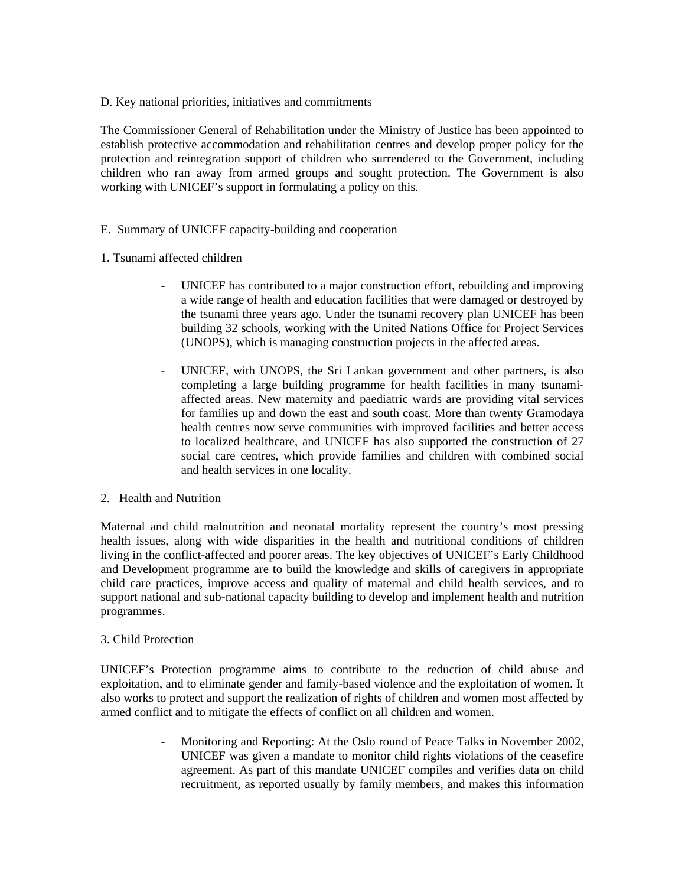# D. Key national priorities, initiatives and commitments

The Commissioner General of Rehabilitation under the Ministry of Justice has been appointed to establish protective accommodation and rehabilitation centres and develop proper policy for the protection and reintegration support of children who surrendered to the Government, including children who ran away from armed groups and sought protection. The Government is also working with UNICEF's support in formulating a policy on this.

# E. Summary of UNICEF capacity-building and cooperation

# 1. Tsunami affected children

- UNICEF has contributed to a major construction effort, rebuilding and improving a wide range of health and education facilities that were damaged or destroyed by the tsunami three years ago. Under the tsunami recovery plan UNICEF has been building 32 schools, working with the United Nations Office for Project Services (UNOPS), which is managing construction projects in the affected areas.
- UNICEF, with UNOPS, the Sri Lankan government and other partners, is also completing a large building programme for health facilities in many tsunamiaffected areas. New maternity and paediatric wards are providing vital services for families up and down the east and south coast. More than twenty Gramodaya health centres now serve communities with improved facilities and better access to localized healthcare, and UNICEF has also supported the construction of 27 social care centres, which provide families and children with combined social and health services in one locality.

#### 2. Health and Nutrition

Maternal and child malnutrition and neonatal mortality represent the country's most pressing health issues, along with wide disparities in the health and nutritional conditions of children living in the conflict-affected and poorer areas. The key objectives of UNICEF's Early Childhood and Development programme are to build the knowledge and skills of caregivers in appropriate child care practices, improve access and quality of maternal and child health services, and to support national and sub-national capacity building to develop and implement health and nutrition programmes.

# 3. Child Protection

UNICEF's Protection programme aims to contribute to the reduction of child abuse and exploitation, and to eliminate gender and family-based violence and the exploitation of women. It also works to protect and support the realization of rights of children and women most affected by armed conflict and to mitigate the effects of conflict on all children and women.

> Monitoring and Reporting: At the Oslo round of Peace Talks in November 2002, UNICEF was given a mandate to monitor child rights violations of the ceasefire agreement. As part of this mandate UNICEF compiles and verifies data on child recruitment, as reported usually by family members, and makes this information